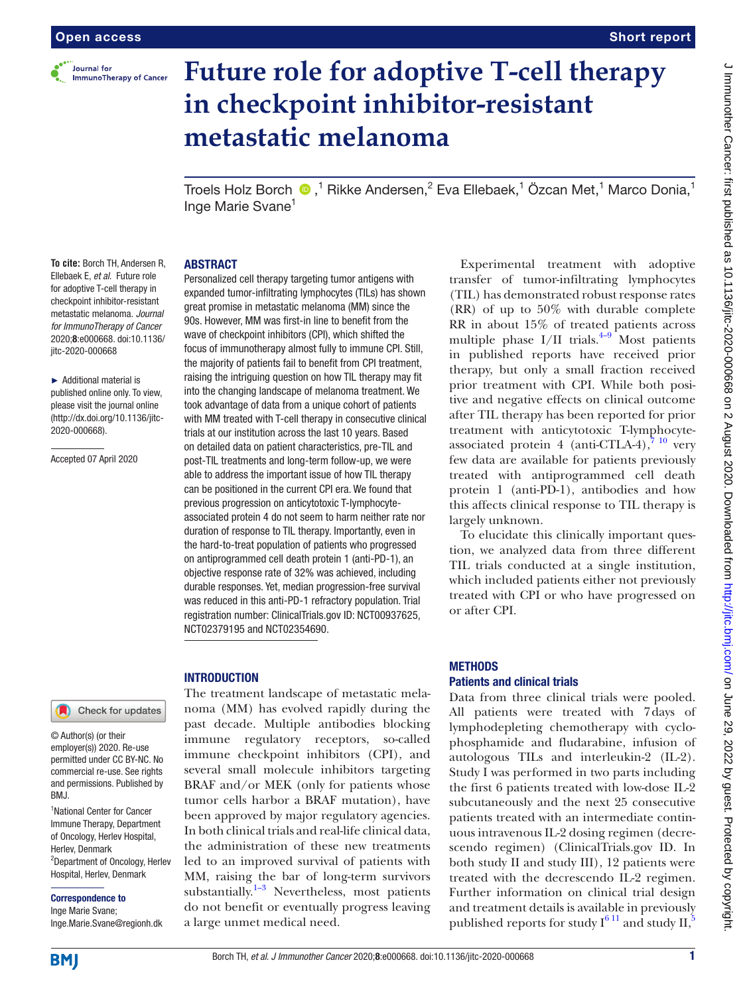

# **Future role for adoptive T-cell therapy in checkpoint inhibitor-resistant metastatic melanoma**

TroelsHolz Borch  $\textcolor{blue}{\bullet}$  , $^1$  Rikke Andersen, $^2$  Eva Ellebaek, $^1$  Özcan Met, $^1$  Marco Donia, $^1$ Inge Marie Svane<sup>1</sup>

#### **ABSTRACT**

**To cite:** Borch TH, Andersen R, Ellebaek E, *et al*. Future role for adoptive T-cell therapy in checkpoint inhibitor-resistant metastatic melanoma. *Journal for ImmunoTherapy of Cancer* 2020;8:e000668. doi:10.1136/ jitc-2020-000668

► Additional material is published online only. To view, please visit the journal online [\(http://dx.doi.org/10.1136/jitc-](http://dx.doi.org/10.1136/jitc-2020-000668)[2020-000668\)](http://dx.doi.org/10.1136/jitc-2020-000668).

Accepted 07 April 2020

# Check for updates

© Author(s) (or their employer(s)) 2020. Re-use permitted under CC BY-NC. No commercial re-use. See rights and permissions. Published by BMJ.

1 National Center for Cancer Immune Therapy, Department of Oncology, Herlev Hospital, Herlev, Denmark 2 Department of Oncology, Herlev Hospital, Herlev, Denmark

Correspondence to

Inge Marie Svane; Inge.Marie.Svane@regionh.dk

Personalized cell therapy targeting tumor antigens with expanded tumor-infiltrating lymphocytes (TILs) has shown great promise in metastatic melanoma (MM) since the 90s. However, MM was first-in line to benefit from the wave of checkpoint inhibitors (CPI), which shifted the focus of immunotherapy almost fully to immune CPI. Still, the majority of patients fail to benefit from CPI treatment, raising the intriguing question on how TIL therapy may fit into the changing landscape of melanoma treatment. We took advantage of data from a unique cohort of patients with MM treated with T-cell therapy in consecutive clinical trials at our institution across the last 10 years. Based on detailed data on patient characteristics, pre-TIL and post-TIL treatments and long-term follow-up, we were able to address the important issue of how TIL therapy can be positioned in the current CPI era. We found that previous progression on anticytotoxic T-lymphocyteassociated protein 4 do not seem to harm neither rate nor duration of response to TIL therapy. Importantly, even in the hard-to-treat population of patients who progressed on antiprogrammed cell death protein 1 (anti-PD-1), an objective response rate of 32% was achieved, including durable responses. Yet, median progression-free survival was reduced in this anti-PD-1 refractory population. Trial registration number: ClinicalTrials.gov ID: NCT00937625, NCT02379195 and NCT02354690.

## **INTRODUCTION**

The treatment landscape of metastatic melanoma (MM) has evolved rapidly during the past decade. Multiple antibodies blocking immune regulatory receptors, so-called immune checkpoint inhibitors (CPI), and several small molecule inhibitors targeting BRAF and/or MEK (only for patients whose tumor cells harbor a BRAF mutation), have been approved by major regulatory agencies. In both clinical trials and real-life clinical data, the administration of these new treatments led to an improved survival of patients with MM, raising the bar of long-term survivors substantially. $1-3$  Nevertheless, most patients do not benefit or eventually progress leaving a large unmet medical need.

# **METHODS**

# Patients and clinical trials

Data from three clinical trials were pooled. All patients were treated with 7days of lymphodepleting chemotherapy with cyclophosphamide and fludarabine, infusion of autologous TILs and interleukin-2 (IL-2). Study I was performed in two parts including the first 6 patients treated with low-dose IL-2 subcutaneously and the next 25 consecutive patients treated with an intermediate continuous intravenous IL-2 dosing regimen (decrescendo regimen) (ClinicalTrials.gov ID. In both study II and study III), 12 patients were treated with the decrescendo IL-2 regimen. Further information on clinical trial design and treatment details is available in previously published reports for study  $I^{6}$ <sup>11</sup> and study II,<sup>5</sup>

Experimental treatment with adoptive transfer of tumor-infiltrating lymphocytes (TIL) has demonstrated robust response rates (RR) of up to 50% with durable complete RR in about 15% of treated patients across multiple phase I/II trials. $4-9$  Most patients in published reports have received prior therapy, but only a small fraction received prior treatment with CPI. While both positive and negative effects on clinical outcome after TIL therapy has been reported for prior treatment with anticytotoxic T-lymphocyteassociated protein 4 (anti-CTLA-4),  $7^{10}$  very few data are available for patients previously treated with antiprogrammed cell death protein 1 (anti-PD-1), antibodies and how this affects clinical response to TIL therapy is largely unknown.

To elucidate this clinically important question, we analyzed data from three different TIL trials conducted at a single institution, which included patients either not previously treated with CPI or who have progressed on or after CPI.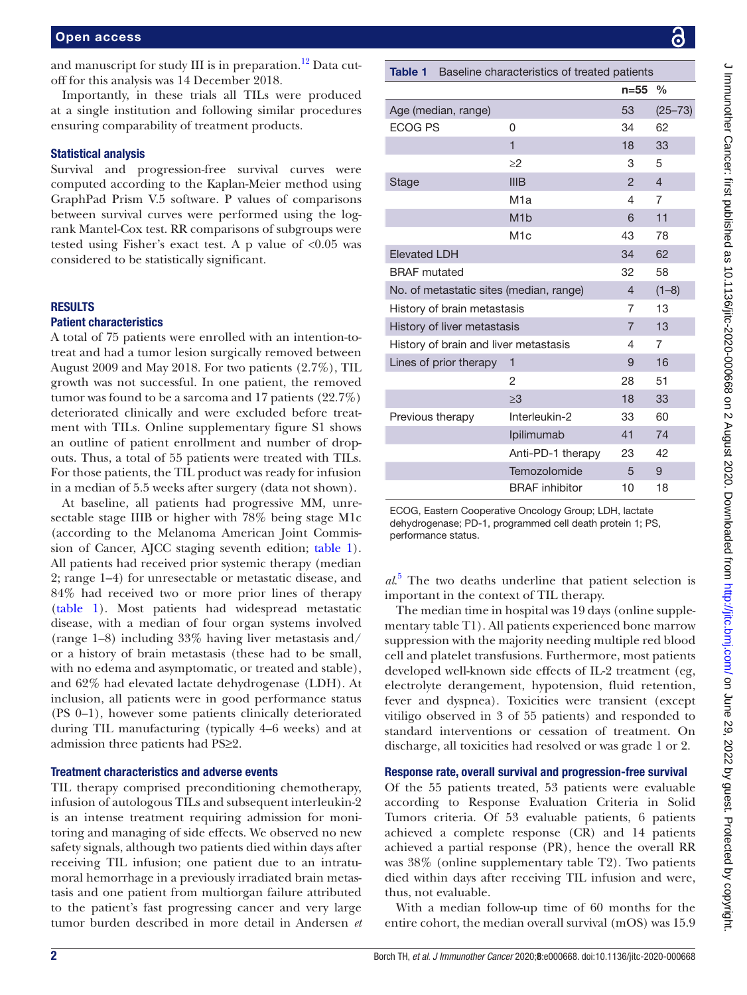and manuscript for study III is in preparation.<sup>12</sup> Data cutoff for this analysis was 14 December 2018.

Importantly, in these trials all TILs were produced at a single institution and following similar procedures ensuring comparability of treatment products.

#### Statistical analysis

Survival and progression-free survival curves were computed according to the Kaplan-Meier method using GraphPad Prism V.5 software. P values of comparisons between survival curves were performed using the logrank Mantel-Cox test. RR comparisons of subgroups were tested using Fisher's exact test. A p value of  $<0.05$  was considered to be statistically significant.

#### **RESULTS**

#### Patient characteristics

A total of 75 patients were enrolled with an intention-totreat and had a tumor lesion surgically removed between August 2009 and May 2018. For two patients (2.7%), TIL growth was not successful. In one patient, the removed tumor was found to be a sarcoma and 17 patients (22.7%) deteriorated clinically and were excluded before treatment with TILs. [Online supplementary figure S1](https://dx.doi.org/10.1136/jitc-2020-000668) shows an outline of patient enrollment and number of dropouts. Thus, a total of 55 patients were treated with TILs. For those patients, the TIL product was ready for infusion in a median of 5.5 weeks after surgery (data not shown).

At baseline, all patients had progressive MM, unresectable stage IIIB or higher with 78% being stage M1c (according to the Melanoma American Joint Commission of Cancer, AJCC staging seventh edition; [table](#page-1-0) 1). All patients had received prior systemic therapy (median 2; range 1–4) for unresectable or metastatic disease, and 84% had received two or more prior lines of therapy ([table](#page-1-0) 1). Most patients had widespread metastatic disease, with a median of four organ systems involved (range 1–8) including 33% having liver metastasis and/ or a history of brain metastasis (these had to be small, with no edema and asymptomatic, or treated and stable), and 62% had elevated lactate dehydrogenase (LDH). At inclusion, all patients were in good performance status (PS 0–1), however some patients clinically deteriorated during TIL manufacturing (typically 4–6 weeks) and at admission three patients had PS≥2.

#### Treatment characteristics and adverse events

TIL therapy comprised preconditioning chemotherapy, infusion of autologous TILs and subsequent interleukin-2 is an intense treatment requiring admission for monitoring and managing of side effects. We observed no new safety signals, although two patients died within days after receiving TIL infusion; one patient due to an intratumoral hemorrhage in a previously irradiated brain metastasis and one patient from multiorgan failure attributed to the patient's fast progressing cancer and very large tumor burden described in more detail in Andersen *et* 

<span id="page-1-0"></span>

|                                         |                | Baseline characteristics of treated patients     |
|-----------------------------------------|----------------|--------------------------------------------------|
|                                         | $n = 55$       | $\frac{0}{0}$                                    |
| Age (median, range)                     |                |                                                  |
| 0                                       | 34             | 62                                               |
| $\overline{1}$                          | 18             | 33                                               |
| $\geq$ 2                                | 3              | 5                                                |
| <b>IIIB</b>                             | $\overline{2}$ | $\overline{4}$                                   |
| M1a                                     | 4              | 7                                                |
| M <sub>1</sub> b                        | 6              | 11                                               |
| M <sub>1</sub> c                        | 43             | 78                                               |
|                                         | 34             | 62                                               |
|                                         | 32             | 58                                               |
| No. of metastatic sites (median, range) |                |                                                  |
| History of brain metastasis             |                |                                                  |
| History of liver metastasis             |                |                                                  |
| History of brain and liver metastasis   |                | 7                                                |
| 1                                       | 9              | 16                                               |
| 2                                       | 28             | 51                                               |
| $\geq 3$                                | 18             | 33                                               |
| Interleukin-2                           | 33             | 60                                               |
| Ipilimumab                              | 41             | 74                                               |
| Anti-PD-1 therapy                       | 23             | 42                                               |
| Temozolomide                            | 5              | 9                                                |
| <b>BRAF</b> inhibitor                   | 10             | 18                                               |
|                                         |                | 53<br>$\overline{4}$<br>7<br>$\overline{7}$<br>4 |

ECOG, Eastern Cooperative Oncology Group; LDH, lactate dehydrogenase; PD-1, programmed cell death protein 1; PS, performance status.

*al*. [5](#page-5-4) The two deaths underline that patient selection is important in the context of TIL therapy.

The median time in hospital was 19 days [\(online supple](https://dx.doi.org/10.1136/jitc-2020-000668)[mentary table T1](https://dx.doi.org/10.1136/jitc-2020-000668)). All patients experienced bone marrow suppression with the majority needing multiple red blood cell and platelet transfusions. Furthermore, most patients developed well-known side effects of IL-2 treatment (eg, electrolyte derangement, hypotension, fluid retention, fever and dyspnea). Toxicities were transient (except vitiligo observed in 3 of 55 patients) and responded to standard interventions or cessation of treatment. On discharge, all toxicities had resolved or was grade 1 or 2.

#### Response rate, overall survival and progression-free survival

Of the 55 patients treated, 53 patients were evaluable according to Response Evaluation Criteria in Solid Tumors criteria. Of 53 evaluable patients, 6 patients achieved a complete response (CR) and 14 patients achieved a partial response (PR), hence the overall RR was 38% [\(online supplementary table T2\)](https://dx.doi.org/10.1136/jitc-2020-000668). Two patients died within days after receiving TIL infusion and were, thus, not evaluable.

With a median follow-up time of 60 months for the entire cohort, the median overall survival (mOS) was 15.9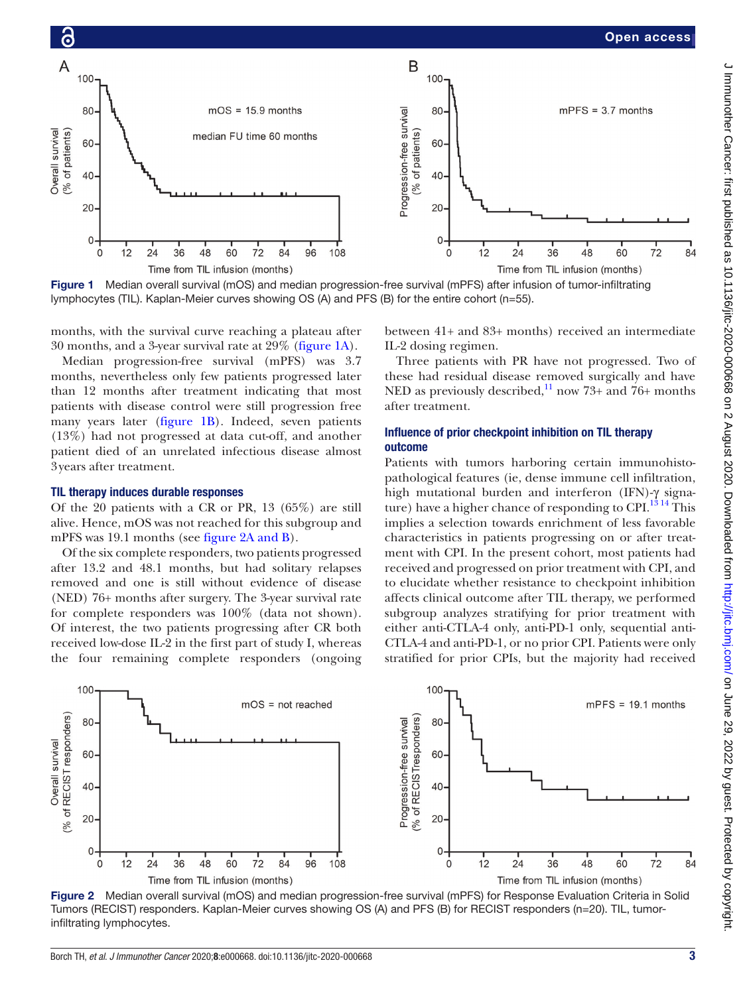

<span id="page-2-0"></span>**Figure 1** Median overall survival (mOS) and median progression-free survival (mPFS) after infusion of tumor-infiltrating lymphocytes (TIL). Kaplan-Meier curves showing OS (A) and PFS (B) for the entire cohort (n=55).

months, with the survival curve reaching a plateau after 30 months, and a 3-year survival rate at 29% [\(figure](#page-2-0) 1A).

Median progression-free survival (mPFS) was 3.7 months, nevertheless only few patients progressed later than 12 months after treatment indicating that most patients with disease control were still progression free many years later ([figure](#page-2-0) 1B). Indeed, seven patients (13%) had not progressed at data cut-off, and another patient died of an unrelated infectious disease almost 3years after treatment.

#### TIL therapy induces durable responses

Of the 20 patients with a CR or PR, 13 (65%) are still alive. Hence, mOS was not reached for this subgroup and mPFS was 19.1 months (see figure [2A and B](#page-2-1)).

Of the six complete responders, two patients progressed after 13.2 and 48.1 months, but had solitary relapses removed and one is still without evidence of disease (NED) 76+ months after surgery. The 3-year survival rate for complete responders was 100% (data not shown). Of interest, the two patients progressing after CR both received low-dose IL-2 in the first part of study I, whereas the four remaining complete responders (ongoing

between 41+ and 83+ months) received an intermediate IL-2 dosing regimen.

Three patients with PR have not progressed. Two of these had residual disease removed surgically and have NED as previously described,<sup>11</sup> now 73+ and 76+ months after treatment.

## Influence of prior checkpoint inhibition on TIL therapy outcome

Patients with tumors harboring certain immunohistopathological features (ie, dense immune cell infiltration, high mutational burden and interferon (IFN)-γ signature) have a higher chance of responding to CPI. $^{13\,14}$  This implies a selection towards enrichment of less favorable characteristics in patients progressing on or after treatment with CPI. In the present cohort, most patients had received and progressed on prior treatment with CPI, and to elucidate whether resistance to checkpoint inhibition affects clinical outcome after TIL therapy, we performed subgroup analyzes stratifying for prior treatment with either anti-CTLA-4 only, anti-PD-1 only, sequential anti-CTLA-4 and anti-PD-1, or no prior CPI. Patients were only stratified for prior CPIs, but the majority had received



<span id="page-2-1"></span>Figure 2 Median overall survival (mOS) and median progression-free survival (mPFS) for Response Evaluation Criteria in Solid Tumors (RECIST) responders. Kaplan-Meier curves showing OS (A) and PFS (B) for RECIST responders (n=20). TIL, tumorinfiltrating lymphocytes.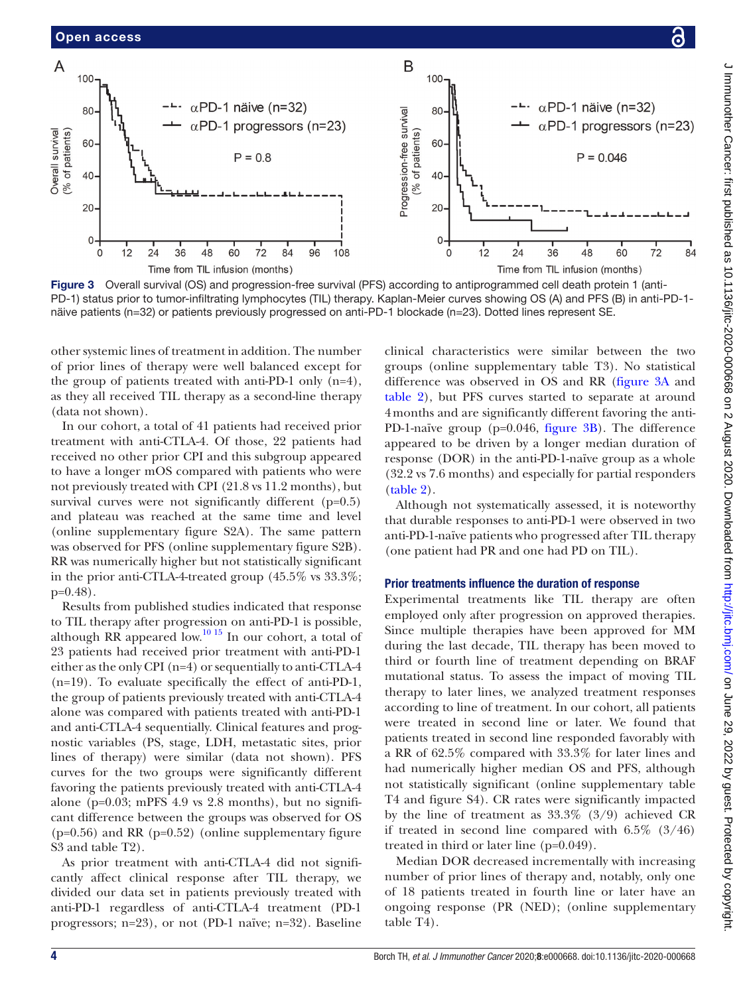

<span id="page-3-0"></span>Figure 3 Overall survival (OS) and progression-free survival (PFS) according to antiprogrammed cell death protein 1 (anti-PD-1) status prior to tumor-infiltrating lymphocytes (TIL) therapy. Kaplan-Meier curves showing OS (A) and PFS (B) in anti-PD-1 näive patients (n=32) or patients previously progressed on anti-PD-1 blockade (n=23). Dotted lines represent SE.

other systemic lines of treatment in addition. The number of prior lines of therapy were well balanced except for the group of patients treated with anti-PD-1 only (n=4), as they all received TIL therapy as a second-line therapy (data not shown).

In our cohort, a total of 41 patients had received prior treatment with anti-CTLA-4. Of those, 22 patients had received no other prior CPI and this subgroup appeared to have a longer mOS compared with patients who were not previously treated with CPI (21.8 vs 11.2 months), but survival curves were not significantly different (p=0.5) and plateau was reached at the same time and level ([online supplementary figure S2A](https://dx.doi.org/10.1136/jitc-2020-000668)). The same pattern was observed for PFS [\(online supplementary figure S2B](https://dx.doi.org/10.1136/jitc-2020-000668)). RR was numerically higher but not statistically significant in the prior anti-CTLA-4-treated group (45.5% vs 33.3%; p=0.48).

Results from published studies indicated that response to TIL therapy after progression on anti-PD-1 is possible, although RR appeared low.<sup>10 15</sup> In our cohort, a total of 23 patients had received prior treatment with anti-PD-1 either as the only CPI (n=4) or sequentially to anti-CTLA-4 (n=19). To evaluate specifically the effect of anti-PD-1, the group of patients previously treated with anti-CTLA-4 alone was compared with patients treated with anti-PD-1 and anti-CTLA-4 sequentially. Clinical features and prognostic variables (PS, stage, LDH, metastatic sites, prior lines of therapy) were similar (data not shown). PFS curves for the two groups were significantly different favoring the patients previously treated with anti-CTLA-4 alone ( $p=0.03$ ; mPFS 4.9 vs 2.8 months), but no significant difference between the groups was observed for OS  $(p=0.56)$  and RR  $(p=0.52)$  [\(online supplementary figure](https://dx.doi.org/10.1136/jitc-2020-000668) [S3 and table T2](https://dx.doi.org/10.1136/jitc-2020-000668)).

As prior treatment with anti-CTLA-4 did not significantly affect clinical response after TIL therapy, we divided our data set in patients previously treated with anti-PD-1 regardless of anti-CTLA-4 treatment (PD-1 progressors; n=23), or not (PD-1 naïve; n=32). Baseline

clinical characteristics were similar between the two groups ([online supplementary table T3\)](https://dx.doi.org/10.1136/jitc-2020-000668). No statistical difference was observed in OS and RR ([figure](#page-3-0) 3A and [table](#page-4-0) 2), but PFS curves started to separate at around 4months and are significantly different favoring the anti-PD-1-naïve group (p=0.046, [figure](#page-3-0) 3B). The difference appeared to be driven by a longer median duration of response (DOR) in the anti-PD-1-naïve group as a whole (32.2 vs 7.6 months) and especially for partial responders [\(table](#page-4-0) 2).

Although not systematically assessed, it is noteworthy that durable responses to anti-PD-1 were observed in two anti-PD-1-naïve patients who progressed after TIL therapy (one patient had PR and one had PD on TIL).

## Prior treatments influence the duration of response

Experimental treatments like TIL therapy are often employed only after progression on approved therapies. Since multiple therapies have been approved for MM during the last decade, TIL therapy has been moved to third or fourth line of treatment depending on BRAF mutational status. To assess the impact of moving TIL therapy to later lines, we analyzed treatment responses according to line of treatment. In our cohort, all patients were treated in second line or later. We found that patients treated in second line responded favorably with a RR of 62.5% compared with 33.3% for later lines and had numerically higher median OS and PFS, although not statistically significant [\(online supplementary table](https://dx.doi.org/10.1136/jitc-2020-000668)  [T4 and figure S4\)](https://dx.doi.org/10.1136/jitc-2020-000668). CR rates were significantly impacted by the line of treatment as 33.3% (3/9) achieved CR if treated in second line compared with  $6.5\%$   $(3/46)$ treated in third or later line (p=0.049).

Median DOR decreased incrementally with increasing number of prior lines of therapy and, notably, only one of 18 patients treated in fourth line or later have an ongoing response (PR (NED); [\(online supplementary](https://dx.doi.org/10.1136/jitc-2020-000668)  [table T4](https://dx.doi.org/10.1136/jitc-2020-000668)).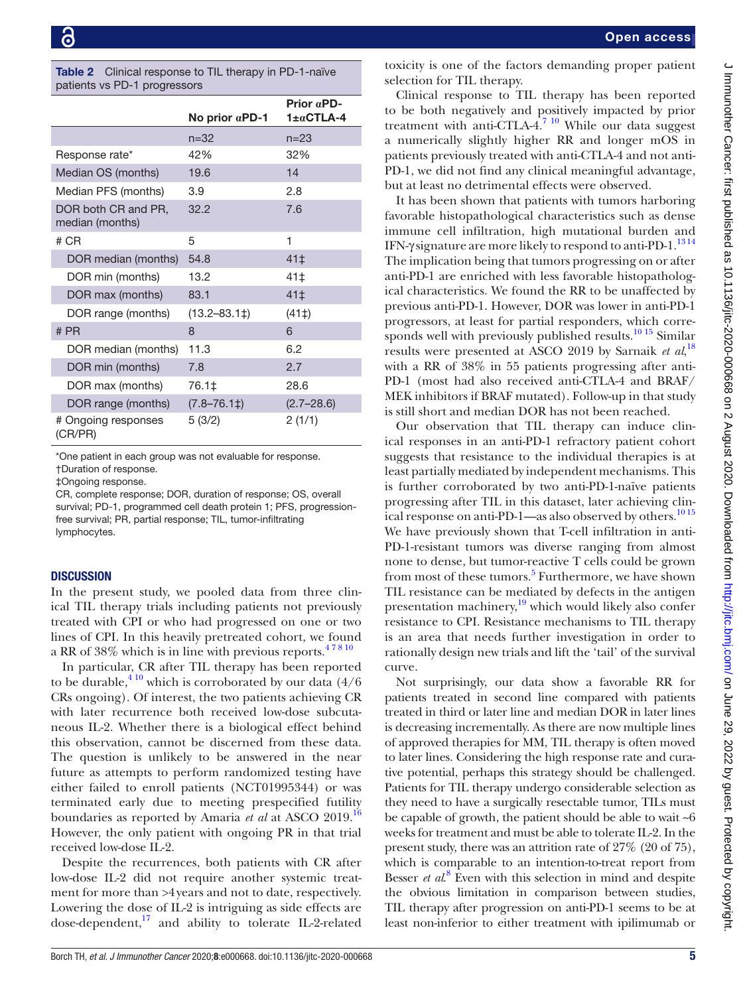<span id="page-4-0"></span>

|  | <b>Table 2</b> Clinical response to TIL therapy in PD-1-naïve |  |  |
|--|---------------------------------------------------------------|--|--|
|  | patients vs PD-1 progressors                                  |  |  |
|  |                                                               |  |  |

|                                        | No prior $\alpha$ PD-1 | Prior $\alpha$ PD-<br>$1 \pm \alpha$ CTLA-4 |
|----------------------------------------|------------------------|---------------------------------------------|
|                                        | $n = 32$               | $n = 23$                                    |
| Response rate*                         | 42%                    | 32%                                         |
| Median OS (months)                     | 19.6                   | 14                                          |
| Median PFS (months)                    | 3.9                    | 2.8                                         |
| DOR both CR and PR,<br>median (months) | 32.2                   | 7.6                                         |
| # CR                                   | 5                      | 1                                           |
| DOR median (months)                    | 54.8                   | 41‡                                         |
| DOR min (months)                       | 13.2                   | 41‡                                         |
| DOR max (months)                       | 83.1                   | 41‡                                         |
| DOR range (months)                     | $(13.2 - 83.1)$        | $(41\ddagger)$                              |
| # PR                                   | 8                      | 6                                           |
| DOR median (months)                    | 11.3                   | 6.2                                         |
| DOR min (months)                       | 7.8                    | 2.7                                         |
| DOR max (months)                       | 76.1‡                  | 28.6                                        |
| DOR range (months)                     | $(7.8 - 76.1)$         | $(2.7 - 28.6)$                              |
| # Ongoing responses<br>(CR/PR)         | 5(3/2)                 | 2(1/1)                                      |

\*One patient in each group was not evaluable for response. †Duration of response.

‡Ongoing response.

CR, complete response; DOR, duration of response; OS, overall survival; PD-1, programmed cell death protein 1; PFS, progressionfree survival; PR, partial response; TIL, tumor-infiltrating lymphocytes.

#### **DISCUSSION**

In the present study, we pooled data from three clinical TIL therapy trials including patients not previously treated with CPI or who had progressed on one or two lines of CPI. In this heavily pretreated cohort, we found a RR of 38% which is in line with previous reports.<sup>478 10</sup>

In particular, CR after TIL therapy has been reported to be durable,<sup>410</sup> which is corroborated by our data  $\left(\frac{4}{6}\right)$ CRs ongoing). Of interest, the two patients achieving CR with later recurrence both received low-dose subcutaneous IL-2. Whether there is a biological effect behind this observation, cannot be discerned from these data. The question is unlikely to be answered in the near future as attempts to perform randomized testing have either failed to enroll patients (NCT01995344) or was terminated early due to meeting prespecified futility boundaries as reported by Amaria *et al* at ASCO 2019.[16](#page-6-0) However, the only patient with ongoing PR in that trial received low-dose IL-2.

Despite the recurrences, both patients with CR after low-dose IL-2 did not require another systemic treatment for more than >4years and not to date, respectively. Lowering the dose of IL-2 is intriguing as side effects are dose-dependent, $^{17}$  and ability to tolerate IL-2-related

toxicity is one of the factors demanding proper patient selection for TIL therapy.

Clinical response to TIL therapy has been reported to be both negatively and positively impacted by prior treatment with anti-CTLA-4.[7 10](#page-5-2) While our data suggest a numerically slightly higher RR and longer mOS in patients previously treated with anti-CTLA-4 and not anti-PD-1, we did not find any clinical meaningful advantage, but at least no detrimental effects were observed.

It has been shown that patients with tumors harboring favorable histopathological characteristics such as dense immune cell infiltration, high mutational burden and IFN-γ signature are more likely to respond to anti-PD-1.<sup>1314</sup> The implication being that tumors progressing on or after anti-PD-1 are enriched with less favorable histopathological characteristics. We found the RR to be unaffected by previous anti-PD-1. However, DOR was lower in anti-PD-1 progressors, at least for partial responders, which corresponds well with previously published results. $\frac{10 \text{ 15}}{10 \text{ 15}}$  Similar results were presented at ASCO 2019 by Sarnaik *et al*, [18](#page-6-2) with a RR of 38% in 55 patients progressing after anti-PD-1 (most had also received anti-CTLA-4 and BRAF/ MEK inhibitors if BRAF mutated). Follow-up in that study is still short and median DOR has not been reached.

Our observation that TIL therapy can induce clinical responses in an anti-PD-1 refractory patient cohort suggests that resistance to the individual therapies is at least partially mediated by independent mechanisms. This is further corroborated by two anti-PD-1-naïve patients progressing after TIL in this dataset, later achieving clinical response on anti-PD-1—as also observed by others.<sup>1015</sup> We have previously shown that T-cell infiltration in anti-PD-1-resistant tumors was diverse ranging from almost none to dense, but tumor-reactive T cells could be grown from most of these tumors.<sup>[5](#page-5-4)</sup> Furthermore, we have shown TIL resistance can be mediated by defects in the antigen presentation machinery, $19$  which would likely also confer resistance to CPI. Resistance mechanisms to TIL therapy is an area that needs further investigation in order to rationally design new trials and lift the 'tail' of the survival curve.

Not surprisingly, our data show a favorable RR for patients treated in second line compared with patients treated in third or later line and median DOR in later lines is decreasing incrementally. As there are now multiple lines of approved therapies for MM, TIL therapy is often moved to later lines. Considering the high response rate and curative potential, perhaps this strategy should be challenged. Patients for TIL therapy undergo considerable selection as they need to have a surgically resectable tumor, TILs must be capable of growth, the patient should be able to wait  $\sim 6$ weeks for treatment and must be able to tolerate IL-2. In the present study, there was an attrition rate of 27% (20 of 75), which is comparable to an intention-to-treat report from Besser *et al.*<sup>[8](#page-5-9)</sup> Even with this selection in mind and despite the obvious limitation in comparison between studies, TIL therapy after progression on anti-PD-1 seems to be at least non-inferior to either treatment with ipilimumab or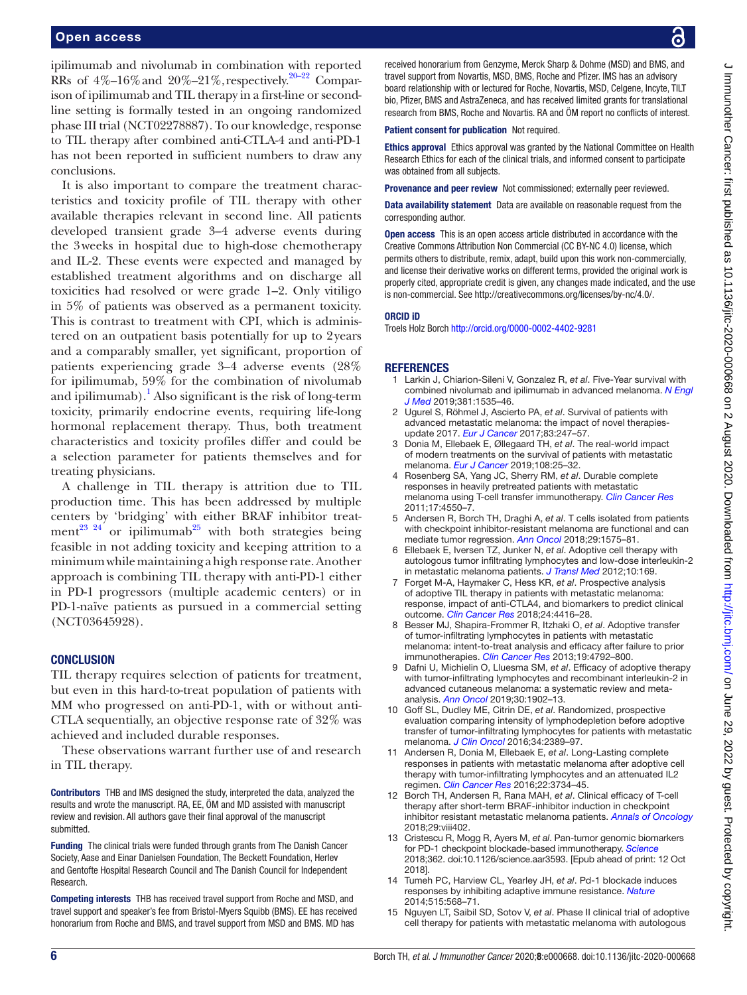#### Open access

ipilimumab and nivolumab in combination with reported RRs of  $4\%$ -16% and  $20\%$ -21%, respectively.<sup>20-22</sup> Comparison of ipilimumab and TIL therapy in a first-line or secondline setting is formally tested in an ongoing randomized phase III trial (NCT02278887). To our knowledge, response to TIL therapy after combined anti-CTLA-4 and anti-PD-1 has not been reported in sufficient numbers to draw any conclusions.

It is also important to compare the treatment characteristics and toxicity profile of TIL therapy with other available therapies relevant in second line. All patients developed transient grade 3–4 adverse events during the 3weeks in hospital due to high-dose chemotherapy and IL-2. These events were expected and managed by established treatment algorithms and on discharge all toxicities had resolved or were grade 1–2. Only vitiligo in 5% of patients was observed as a permanent toxicity. This is contrast to treatment with CPI, which is administered on an outpatient basis potentially for up to 2years and a comparably smaller, yet significant, proportion of patients experiencing grade 3–4 adverse events (28% for ipilimumab, 59% for the combination of nivolumab and ipilimumab).<sup>[1](#page-5-0)</sup> Also significant is the risk of long-term toxicity, primarily endocrine events, requiring life-long hormonal replacement therapy. Thus, both treatment characteristics and toxicity profiles differ and could be a selection parameter for patients themselves and for treating physicians.

A challenge in TIL therapy is attrition due to TIL production time. This has been addressed by multiple centers by 'bridging' with either BRAF inhibitor treatment<sup>23</sup>  $24$  or ipilimumab<sup>25</sup> with both strategies being feasible in not adding toxicity and keeping attrition to a minimum while maintaining a high response rate. Another approach is combining TIL therapy with anti-PD-1 either in PD-1 progressors (multiple academic centers) or in PD-1-naïve patients as pursued in a commercial setting (NCT03645928).

#### **CONCLUSION**

TIL therapy requires selection of patients for treatment, but even in this hard-to-treat population of patients with MM who progressed on anti-PD-1, with or without anti-CTLA sequentially, an objective response rate of 32% was achieved and included durable responses.

These observations warrant further use of and research in TIL therapy.

Contributors THB and IMS designed the study, interpreted the data, analyzed the results and wrote the manuscript. RA, EE, ÖM and MD assisted with manuscript review and revision. All authors gave their final approval of the manuscript submitted.

Funding The clinical trials were funded through grants from The Danish Cancer Society, Aase and Einar Danielsen Foundation, The Beckett Foundation, Herlev and Gentofte Hospital Research Council and The Danish Council for Independent Research.

Competing interests THB has received travel support from Roche and MSD, and travel support and speaker's fee from Bristol-Myers Squibb (BMS). EE has received honorarium from Roche and BMS, and travel support from MSD and BMS. MD has

received honorarium from Genzyme, Merck Sharp & Dohme (MSD) and BMS, and travel support from Novartis, MSD, BMS, Roche and Pfizer. IMS has an advisory board relationship with or lectured for Roche, Novartis, MSD, Celgene, Incyte, TILT bio, Pfizer, BMS and AstraZeneca, and has received limited grants for translational research from BMS, Roche and Novartis. RA and ÖM report no conflicts of interest.

#### Patient consent for publication Not required.

Ethics approval Ethics approval was granted by the National Committee on Health Research Ethics for each of the clinical trials, and informed consent to participate was obtained from all subjects.

Provenance and peer review Not commissioned; externally peer reviewed.

Data availability statement Data are available on reasonable request from the corresponding author.

Open access This is an open access article distributed in accordance with the Creative Commons Attribution Non Commercial (CC BY-NC 4.0) license, which permits others to distribute, remix, adapt, build upon this work non-commercially, and license their derivative works on different terms, provided the original work is properly cited, appropriate credit is given, any changes made indicated, and the use is non-commercial. See <http://creativecommons.org/licenses/by-nc/4.0/>.

#### ORCID iD

Troels Holz Borch <http://orcid.org/0000-0002-4402-9281>

#### **REFERENCES**

- <span id="page-5-0"></span>Larkin J, Chiarion-Sileni V, Gonzalez R, et al. Five-Year survival with combined nivolumab and ipilimumab in advanced melanoma. *[N Engl](http://dx.doi.org/10.1056/NEJMoa1910836)  [J Med](http://dx.doi.org/10.1056/NEJMoa1910836)* 2019;381:1535–46.
- 2 Ugurel S, Röhmel J, Ascierto PA, *et al*. Survival of patients with advanced metastatic melanoma: the impact of novel therapiesupdate 2017. *[Eur J Cancer](http://dx.doi.org/10.1016/j.ejca.2017.06.028)* 2017;83:247–57.
- 3 Donia M, Ellebaek E, Øllegaard TH, *et al*. The real-world impact of modern treatments on the survival of patients with metastatic melanoma. *[Eur J Cancer](http://dx.doi.org/10.1016/j.ejca.2018.12.002)* 2019;108:25–32.
- <span id="page-5-1"></span>4 Rosenberg SA, Yang JC, Sherry RM, *et al*. Durable complete responses in heavily pretreated patients with metastatic melanoma using T-cell transfer immunotherapy. *[Clin Cancer Res](http://dx.doi.org/10.1158/1078-0432.CCR-11-0116)* 2011;17:4550–7.
- <span id="page-5-4"></span>5 Andersen R, Borch TH, Draghi A, *et al*. T cells isolated from patients with checkpoint inhibitor-resistant melanoma are functional and can mediate tumor regression. *[Ann Oncol](http://dx.doi.org/10.1093/annonc/mdy139)* 2018;29:1575–81.
- <span id="page-5-3"></span>6 Ellebaek E, Iversen TZ, Junker N, *et al*. Adoptive cell therapy with autologous tumor infiltrating lymphocytes and low-dose interleukin-2 in metastatic melanoma patients. *[J Transl Med](http://dx.doi.org/10.1186/1479-5876-10-169)* 2012;10:169.
- <span id="page-5-2"></span>7 Forget M-A, Haymaker C, Hess KR, *et al*. Prospective analysis of adoptive TIL therapy in patients with metastatic melanoma: response, impact of anti-CTLA4, and biomarkers to predict clinical outcome. *[Clin Cancer Res](http://dx.doi.org/10.1158/1078-0432.CCR-17-3649)* 2018;24:4416–28.
- <span id="page-5-9"></span>8 Besser MJ, Shapira-Frommer R, Itzhaki O, *et al*. Adoptive transfer of tumor-infiltrating lymphocytes in patients with metastatic melanoma: intent-to-treat analysis and efficacy after failure to prior immunotherapies. *[Clin Cancer Res](http://dx.doi.org/10.1158/1078-0432.CCR-13-0380)* 2013;19:4792–800.
- 9 Dafni U, Michielin O, Lluesma SM, *et al*. Efficacy of adoptive therapy with tumor-infiltrating lymphocytes and recombinant interleukin-2 in advanced cutaneous melanoma: a systematic review and metaanalysis. *[Ann Oncol](http://dx.doi.org/10.1093/annonc/mdz398)* 2019;30:1902–13.
- <span id="page-5-8"></span>10 Goff SL, Dudley ME, Citrin DE, *et al*. Randomized, prospective evaluation comparing intensity of lymphodepletion before adoptive transfer of tumor-infiltrating lymphocytes for patients with metastatic melanoma. *[J Clin Oncol](http://dx.doi.org/10.1200/JCO.2016.66.7220)* 2016;34:2389–97.
- <span id="page-5-6"></span>11 Andersen R, Donia M, Ellebaek E, *et al*. Long-Lasting complete responses in patients with metastatic melanoma after adoptive cell therapy with tumor-infiltrating lymphocytes and an attenuated IL2 regimen. *[Clin Cancer Res](http://dx.doi.org/10.1158/1078-0432.CCR-15-1879)* 2016;22:3734–45.
- <span id="page-5-5"></span>12 Borch TH, Andersen R, Rana MAH, *et al*. Clinical efficacy of T-cell therapy after short-term BRAF-inhibitor induction in checkpoint inhibitor resistant metastatic melanoma patients. *[Annals of Oncology](http://dx.doi.org/10.1093/annonc/mdy288.005)* 2018;29:viii402.
- <span id="page-5-7"></span>13 Cristescu R, Mogg R, Ayers M, *et al*. Pan-tumor genomic biomarkers for PD-1 checkpoint blockade-based immunotherapy. *[Science](http://dx.doi.org/10.1126/science.aar3593)* 2018;362. doi:10.1126/science.aar3593. [Epub ahead of print: 12 Oct 2018].
- 14 Tumeh PC, Harview CL, Yearley JH, *et al*. Pd-1 blockade induces responses by inhibiting adaptive immune resistance. *[Nature](http://dx.doi.org/10.1038/nature13954)* 2014;515:568–71.
- 15 Nguyen LT, Saibil SD, Sotov V, *et al*. Phase II clinical trial of adoptive cell therapy for patients with metastatic melanoma with autologous